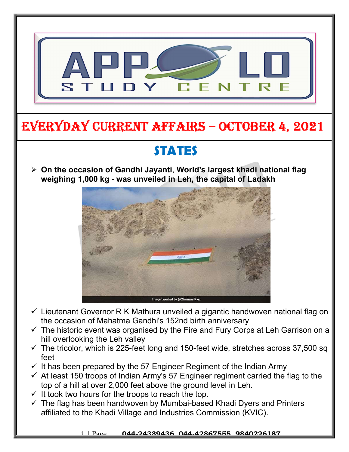

# EVERYDAY CURRENT AFFAIRS – OCTOBER 4, 2021

# STATES

 $\triangleright$  On the occasion of Gandhi Jayanti, World's largest khadi national flag weighing 1,000 kg - was unveiled in Leh, the capital of Ladakh



- $\checkmark$  Lieutenant Governor R K Mathura unveiled a gigantic handwoven national flag on the occasion of Mahatma Gandhi's 152nd birth anniversary
- $\checkmark$  The historic event was organised by the Fire and Fury Corps at Leh Garrison on a hill overlooking the Leh valley
- $\checkmark$  The tricolor, which is 225-feet long and 150-feet wide, stretches across 37,500 sq feet
- $\checkmark$  It has been prepared by the 57 Engineer Regiment of the Indian Army
- $\checkmark$  At least 150 troops of Indian Army's 57 Engineer regiment carried the flag to the top of a hill at over 2,000 feet above the ground level in Leh.
- $\checkmark$  It took two hours for the troops to reach the top.

-

 $\checkmark$  The flag has been handwoven by Mumbai-based Khadi Dyers and Printers affiliated to the Khadi Village and Industries Commission (KVIC).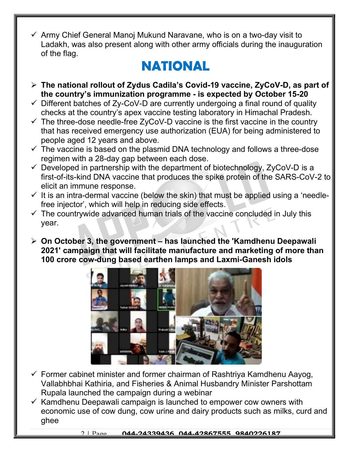$\checkmark$  Army Chief General Manoj Mukund Naravane, who is on a two-day visit to Ladakh, was also present along with other army officials during the inauguration of the flag.

## NATIONAL

- The national rollout of Zydus Cadila's Covid-19 vaccine, ZyCoV-D, as part of the country's immunization programme - is expected by October 15-20
- $\checkmark$  Different batches of Zy-CoV-D are currently undergoing a final round of quality checks at the country's apex vaccine testing laboratory in Himachal Pradesh.
- $\checkmark$  The three-dose needle-free ZyCoV-D vaccine is the first vaccine in the country that has received emergency use authorization (EUA) for being administered to people aged 12 years and above.
- $\checkmark$  The vaccine is based on the plasmid DNA technology and follows a three-dose regimen with a 28-day gap between each dose.
- $\checkmark$  Developed in partnership with the department of biotechnology, ZyCoV-D is a first-of-its-kind DNA vaccine that produces the spike protein of the SARS-CoV-2 to elicit an immune response.
- $\checkmark$  It is an intra-dermal vaccine (below the skin) that must be applied using a 'needlefree injector', which will help in reducing side effects.
- $\checkmark$  The countrywide advanced human trials of the vaccine concluded in July this year.
- $\triangleright$  On October 3, the government has launched the 'Kamdhenu Deepawali 2021' campaign that will facilitate manufacture and marketing of more than 100 crore cow-dung based earthen lamps and Laxmi-Ganesh idols



- $\checkmark$  Former cabinet minister and former chairman of Rashtriya Kamdhenu Aayog, Vallabhbhai Kathiria, and Fisheries & Animal Husbandry Minister Parshottam Rupala launched the campaign during a webinar
- $\checkmark$  Kamdhenu Deepawali campaign is launched to empower cow owners with economic use of cow dung, cow urine and dairy products such as milks, curd and ghee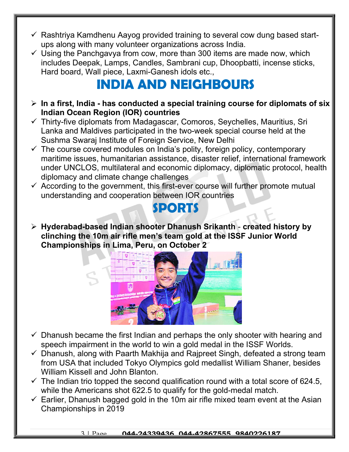- $\checkmark$  Rashtriya Kamdhenu Aayog provided training to several cow dung based startups along with many volunteer organizations across India.
- $\checkmark$  Using the Panchgavya from cow, more than 300 items are made now, which includes Deepak, Lamps, Candles, Sambrani cup, Dhoopbatti, incense sticks, Hard board, Wall piece, Laxmi-Ganesh idols etc.,

# INDIA AND NEIGHBOURS

- $\triangleright$  In a first, India has conducted a special training course for diplomats of six Indian Ocean Region (IOR) countries
- $\checkmark$  Thirty-five diplomats from Madagascar, Comoros, Seychelles, Mauritius, Sri Lanka and Maldives participated in the two-week special course held at the Sushma Swaraj Institute of Foreign Service, New Delhi
- $\checkmark$  The course covered modules on India's polity, foreign policy, contemporary maritime issues, humanitarian assistance, disaster relief, international framework under UNCLOS, multilateral and economic diplomacy, diplomatic protocol, health diplomacy and climate change challenges
- $\checkmark$  According to the government, this first-ever course will further promote mutual understanding and cooperation between IOR countries

#### SPORTS

 Hyderabad-based Indian shooter Dhanush Srikanth - created history by clinching the 10m air rifle men's team gold at the ISSF Junior World Championships in Lima, Peru, on October 2



- $\checkmark$  Dhanush became the first Indian and perhaps the only shooter with hearing and speech impairment in the world to win a gold medal in the ISSF Worlds.
- $\checkmark$  Dhanush, along with Paarth Makhija and Rajpreet Singh, defeated a strong team from USA that included Tokyo Olympics gold medallist William Shaner, besides William Kissell and John Blanton.
- $\checkmark$  The Indian trio topped the second qualification round with a total score of 624.5, while the Americans shot 622.5 to qualify for the gold-medal match.
- $\checkmark$  Earlier, Dhanush bagged gold in the 10m air rifle mixed team event at the Asian Championships in 2019